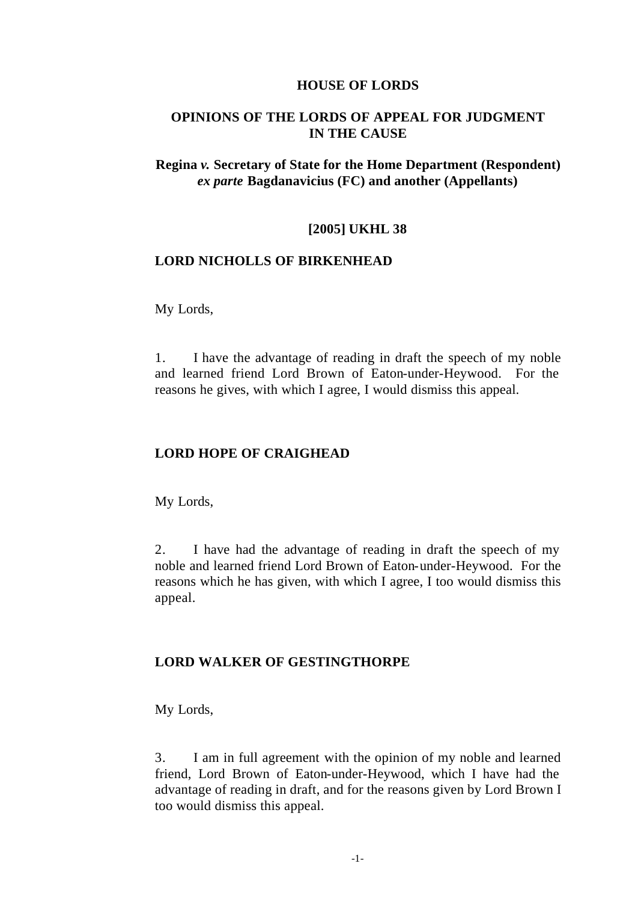#### **HOUSE OF LORDS**

## **OPINIONS OF THE LORDS OF APPEAL FOR JUDGMENT IN THE CAUSE**

## **Regina** *v.* **Secretary of State for the Home Department (Respondent)**  *ex parte* **Bagdanavicius (FC) and another (Appellants)**

#### **[2005] UKHL 38**

#### **LORD NICHOLLS OF BIRKENHEAD**

My Lords,

1. I have the advantage of reading in draft the speech of my noble and learned friend Lord Brown of Eaton-under-Heywood. For the reasons he gives, with which I agree, I would dismiss this appeal.

# **LORD HOPE OF CRAIGHEAD**

My Lords,

2. I have had the advantage of reading in draft the speech of my noble and learned friend Lord Brown of Eaton-under-Heywood. For the reasons which he has given, with which I agree, I too would dismiss this appeal.

## **LORD WALKER OF GESTINGTHORPE**

My Lords,

3. I am in full agreement with the opinion of my noble and learned friend, Lord Brown of Eaton-under-Heywood, which I have had the advantage of reading in draft, and for the reasons given by Lord Brown I too would dismiss this appeal.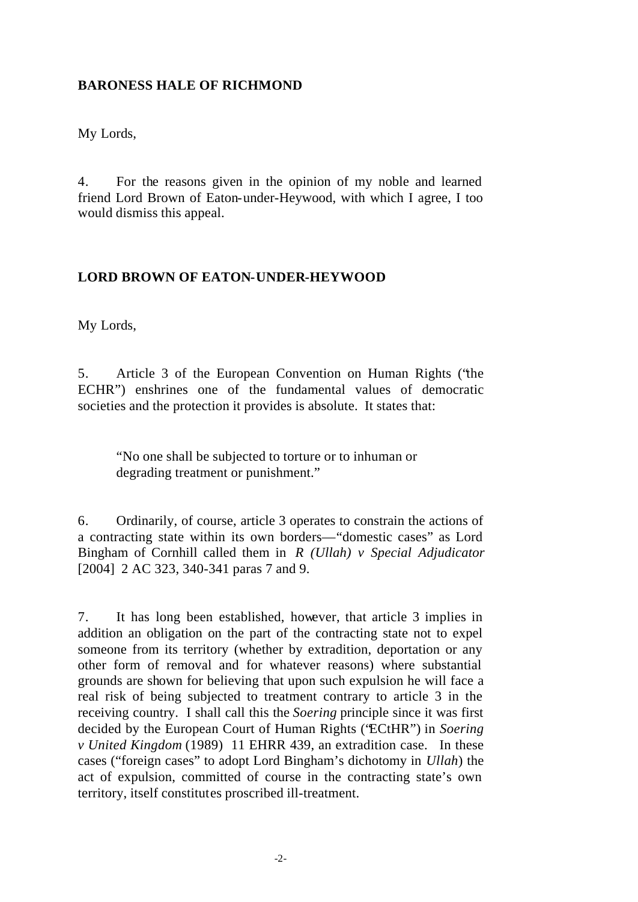# **BARONESS HALE OF RICHMOND**

My Lords,

4. For the reasons given in the opinion of my noble and learned friend Lord Brown of Eaton-under-Heywood, with which I agree, I too would dismiss this appeal.

# **LORD BROWN OF EATON-UNDER-HEYWOOD**

My Lords,

5. Article 3 of the European Convention on Human Rights ("the ECHR") enshrines one of the fundamental values of democratic societies and the protection it provides is absolute. It states that:

"No one shall be subjected to torture or to inhuman or degrading treatment or punishment."

6. Ordinarily, of course, article 3 operates to constrain the actions of a contracting state within its own borders—"domestic cases" as Lord Bingham of Cornhill called them in *R (Ullah) v Special Adjudicator* [2004] 2 AC 323, 340-341 paras 7 and 9.

7. It has long been established, however, that article 3 implies in addition an obligation on the part of the contracting state not to expel someone from its territory (whether by extradition, deportation or any other form of removal and for whatever reasons) where substantial grounds are shown for believing that upon such expulsion he will face a real risk of being subjected to treatment contrary to article 3 in the receiving country. I shall call this the *Soering* principle since it was first decided by the European Court of Human Rights ("ECtHR") in *Soering v United Kingdom* (1989) 11 EHRR 439, an extradition case. In these cases ("foreign cases" to adopt Lord Bingham's dichotomy in *Ullah*) the act of expulsion, committed of course in the contracting state's own territory, itself constitutes proscribed ill-treatment.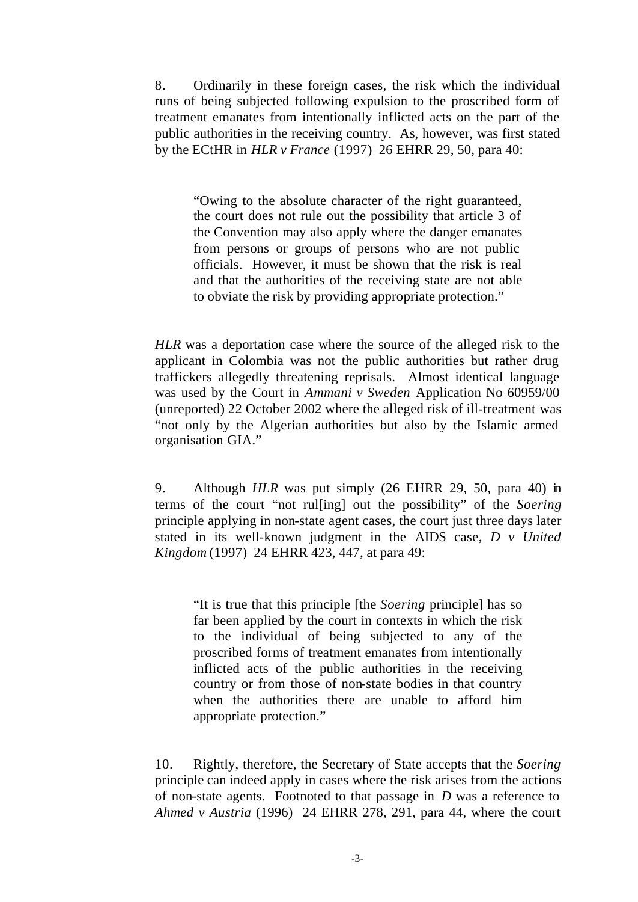8. Ordinarily in these foreign cases, the risk which the individual runs of being subjected following expulsion to the proscribed form of treatment emanates from intentionally inflicted acts on the part of the public authorities in the receiving country. As, however, was first stated by the ECtHR in *HLR v France* (1997) 26 EHRR 29, 50, para 40:

"Owing to the absolute character of the right guaranteed, the court does not rule out the possibility that article 3 of the Convention may also apply where the danger emanates from persons or groups of persons who are not public officials. However, it must be shown that the risk is real and that the authorities of the receiving state are not able to obviate the risk by providing appropriate protection."

*HLR* was a deportation case where the source of the alleged risk to the applicant in Colombia was not the public authorities but rather drug traffickers allegedly threatening reprisals. Almost identical language was used by the Court in *Ammani v Sweden* Application No 60959/00 (unreported) 22 October 2002 where the alleged risk of ill-treatment was "not only by the Algerian authorities but also by the Islamic armed organisation GIA."

9. Although *HLR* was put simply (26 EHRR 29, 50, para 40) in terms of the court "not rul[ing] out the possibility" of the *Soering* principle applying in non-state agent cases, the court just three days later stated in its well-known judgment in the AIDS case, *D v United Kingdom* (1997) 24 EHRR 423, 447, at para 49:

"It is true that this principle [the *Soering* principle] has so far been applied by the court in contexts in which the risk to the individual of being subjected to any of the proscribed forms of treatment emanates from intentionally inflicted acts of the public authorities in the receiving country or from those of non-state bodies in that country when the authorities there are unable to afford him appropriate protection."

10. Rightly, therefore, the Secretary of State accepts that the *Soering*  principle can indeed apply in cases where the risk arises from the actions of non-state agents. Footnoted to that passage in *D* was a reference to *Ahmed v Austria* (1996) 24 EHRR 278, 291, para 44, where the court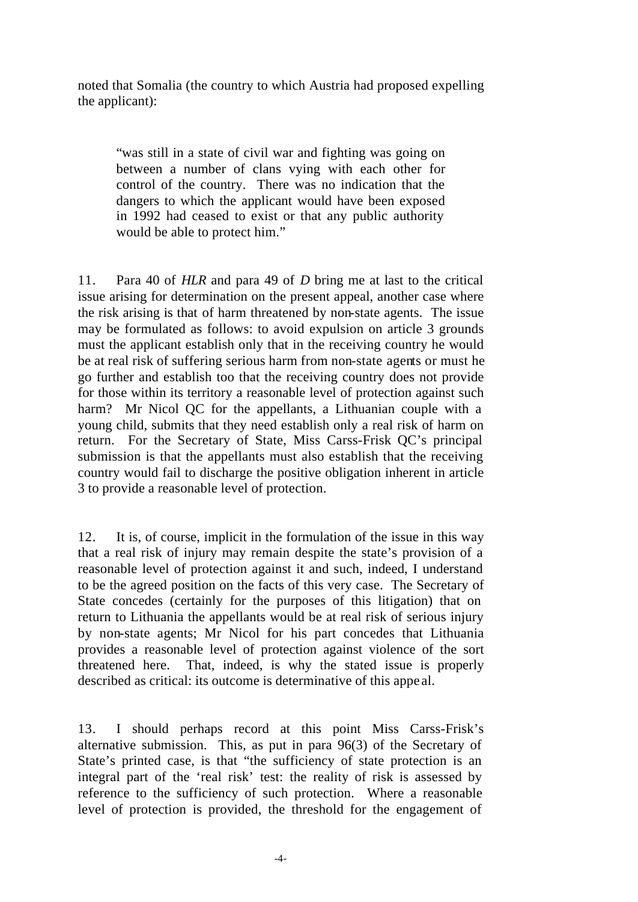noted that Somalia (the country to which Austria had proposed expelling the applicant):

"was still in a state of civil war and fighting was going on between a number of clans vying with each other for control of the country. There was no indication that the dangers to which the applicant would have been exposed in 1992 had ceased to exist or that any public authority would be able to protect him."

11. Para 40 of *HLR* and para 49 of *D* bring me at last to the critical issue arising for determination on the present appeal, another case where the risk arising is that of harm threatened by non-state agents. The issue may be formulated as follows: to avoid expulsion on article 3 grounds must the applicant establish only that in the receiving country he would be at real risk of suffering serious harm from non-state agents or must he go further and establish too that the receiving country does not provide for those within its territory a reasonable level of protection against such harm? Mr Nicol OC for the appellants, a Lithuanian couple with a young child, submits that they need establish only a real risk of harm on return. For the Secretary of State, Miss Carss-Frisk QC's principal submission is that the appellants must also establish that the receiving country would fail to discharge the positive obligation inherent in article 3 to provide a reasonable level of protection.

12. It is, of course, implicit in the formulation of the issue in this way that a real risk of injury may remain despite the state's provision of a reasonable level of protection against it and such, indeed, I understand to be the agreed position on the facts of this very case. The Secretary of State concedes (certainly for the purposes of this litigation) that on return to Lithuania the appellants would be at real risk of serious injury by non-state agents; Mr Nicol for his part concedes that Lithuania provides a reasonable level of protection against violence of the sort threatened here. That, indeed, is why the stated issue is properly described as critical: its outcome is determinative of this appe al.

13. I should perhaps record at this point Miss Carss-Frisk's alternative submission. This, as put in para 96(3) of the Secretary of State's printed case, is that "the sufficiency of state protection is an integral part of the 'real risk' test: the reality of risk is assessed by reference to the sufficiency of such protection. Where a reasonable level of protection is provided, the threshold for the engagement of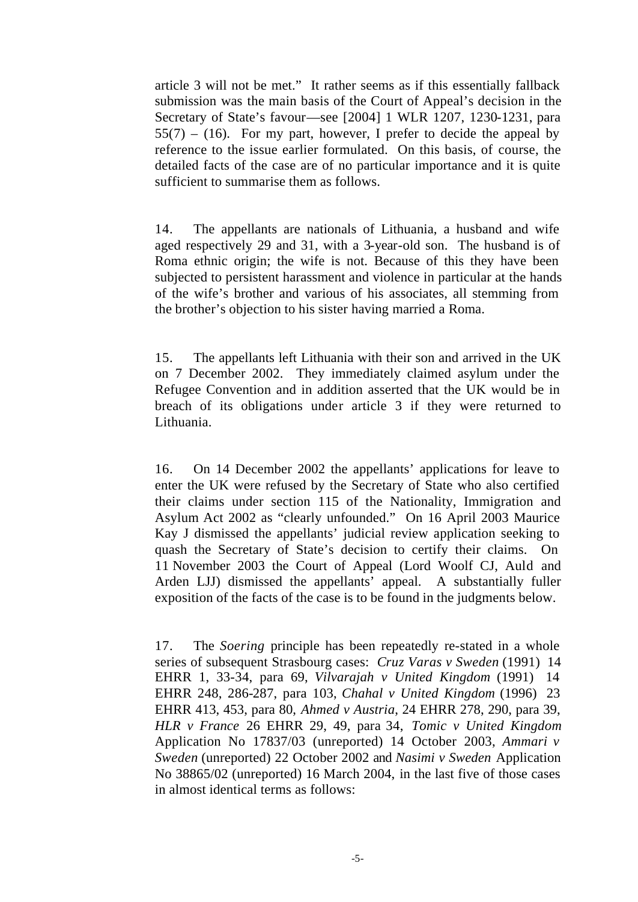article 3 will not be met." It rather seems as if this essentially fallback submission was the main basis of the Court of Appeal's decision in the Secretary of State's favour—see [2004] 1 WLR 1207, 1230-1231, para  $55(7) - (16)$ . For my part, however, I prefer to decide the appeal by reference to the issue earlier formulated. On this basis, of course, the detailed facts of the case are of no particular importance and it is quite sufficient to summarise them as follows.

14. The appellants are nationals of Lithuania, a husband and wife aged respectively 29 and 31, with a 3-year-old son. The husband is of Roma ethnic origin; the wife is not. Because of this they have been subjected to persistent harassment and violence in particular at the hands of the wife's brother and various of his associates, all stemming from the brother's objection to his sister having married a Roma.

15. The appellants left Lithuania with their son and arrived in the UK on 7 December 2002. They immediately claimed asylum under the Refugee Convention and in addition asserted that the UK would be in breach of its obligations under article 3 if they were returned to Lithuania.

16. On 14 December 2002 the appellants' applications for leave to enter the UK were refused by the Secretary of State who also certified their claims under section 115 of the Nationality, Immigration and Asylum Act 2002 as "clearly unfounded." On 16 April 2003 Maurice Kay J dismissed the appellants' judicial review application seeking to quash the Secretary of State's decision to certify their claims. On 11 November 2003 the Court of Appeal (Lord Woolf CJ, Auld and Arden LJJ) dismissed the appellants' appeal. A substantially fuller exposition of the facts of the case is to be found in the judgments below.

17. The *Soering* principle has been repeatedly re-stated in a whole series of subsequent Strasbourg cases: *Cruz Varas v Sweden* (1991) 14 EHRR 1, 33-34, para 69, *Vilvarajah v United Kingdom* (1991) 14 EHRR 248, 286-287, para 103, *Chahal v United Kingdom* (1996) 23 EHRR 413, 453, para 80, *Ahmed v Austria*, 24 EHRR 278, 290, para 39, *HLR v France* 26 EHRR 29, 49, para 34, *Tomic v United Kingdom* Application No 17837/03 (unreported) 14 October 2003, *Ammari v Sweden* (unreported) 22 October 2002 and *Nasimi v Sweden* Application No 38865/02 (unreported) 16 March 2004, in the last five of those cases in almost identical terms as follows: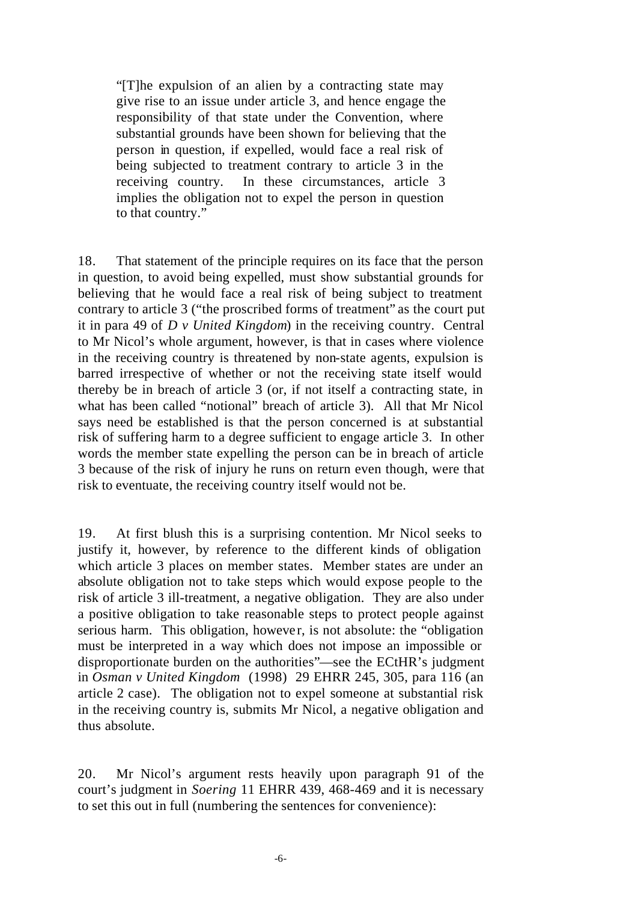"[T]he expulsion of an alien by a contracting state may give rise to an issue under article 3, and hence engage the responsibility of that state under the Convention, where substantial grounds have been shown for believing that the person in question, if expelled, would face a real risk of being subjected to treatment contrary to article 3 in the receiving country. In these circumstances, article 3 implies the obligation not to expel the person in question to that country."

18. That statement of the principle requires on its face that the person in question, to avoid being expelled, must show substantial grounds for believing that he would face a real risk of being subject to treatment contrary to article 3 ("the proscribed forms of treatment" as the court put it in para 49 of *D v United Kingdom*) in the receiving country. Central to Mr Nicol's whole argument, however, is that in cases where violence in the receiving country is threatened by non-state agents, expulsion is barred irrespective of whether or not the receiving state itself would thereby be in breach of article 3 (or, if not itself a contracting state, in what has been called "notional" breach of article 3). All that Mr Nicol says need be established is that the person concerned is at substantial risk of suffering harm to a degree sufficient to engage article 3. In other words the member state expelling the person can be in breach of article 3 because of the risk of injury he runs on return even though, were that risk to eventuate, the receiving country itself would not be.

19. At first blush this is a surprising contention. Mr Nicol seeks to justify it, however, by reference to the different kinds of obligation which article 3 places on member states. Member states are under an absolute obligation not to take steps which would expose people to the risk of article 3 ill-treatment, a negative obligation. They are also under a positive obligation to take reasonable steps to protect people against serious harm. This obligation, however, is not absolute: the "obligation" must be interpreted in a way which does not impose an impossible or disproportionate burden on the authorities"—see the ECtHR's judgment in *Osman v United Kingdom* (1998) 29 EHRR 245, 305, para 116 (an article 2 case). The obligation not to expel someone at substantial risk in the receiving country is, submits Mr Nicol, a negative obligation and thus absolute.

20. Mr Nicol's argument rests heavily upon paragraph 91 of the court's judgment in *Soering* 11 EHRR 439, 468-469 and it is necessary to set this out in full (numbering the sentences for convenience):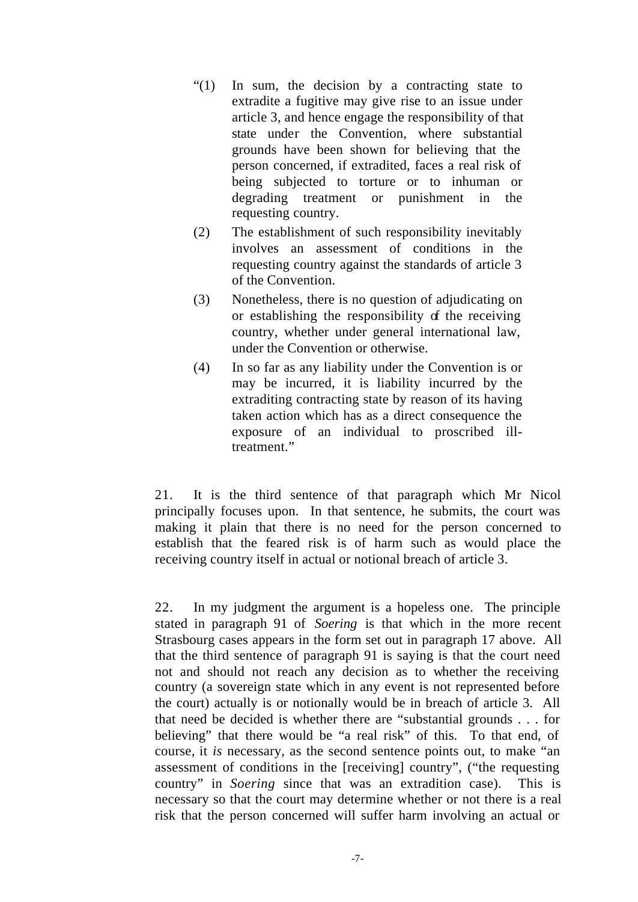- "(1) In sum, the decision by a contracting state to extradite a fugitive may give rise to an issue under article 3, and hence engage the responsibility of that state under the Convention, where substantial grounds have been shown for believing that the person concerned, if extradited, faces a real risk of being subjected to torture or to inhuman or degrading treatment or punishment in the requesting country.
- (2) The establishment of such responsibility inevitably involves an assessment of conditions in the requesting country against the standards of article 3 of the Convention.
- (3) Nonetheless, there is no question of adjudicating on or establishing the responsibility of the receiving country, whether under general international law, under the Convention or otherwise.
- (4) In so far as any liability under the Convention is or may be incurred, it is liability incurred by the extraditing contracting state by reason of its having taken action which has as a direct consequence the exposure of an individual to proscribed illtreatment."

21. It is the third sentence of that paragraph which Mr Nicol principally focuses upon. In that sentence, he submits, the court was making it plain that there is no need for the person concerned to establish that the feared risk is of harm such as would place the receiving country itself in actual or notional breach of article 3.

22. In my judgment the argument is a hopeless one. The principle stated in paragraph 91 of *Soering* is that which in the more recent Strasbourg cases appears in the form set out in paragraph 17 above. All that the third sentence of paragraph 91 is saying is that the court need not and should not reach any decision as to whether the receiving country (a sovereign state which in any event is not represented before the court) actually is or notionally would be in breach of article 3. All that need be decided is whether there are "substantial grounds . . . for believing" that there would be "a real risk" of this. To that end, of course, it *is* necessary, as the second sentence points out, to make "an assessment of conditions in the [receiving] country", ("the requesting country" in *Soering* since that was an extradition case). This is necessary so that the court may determine whether or not there is a real risk that the person concerned will suffer harm involving an actual or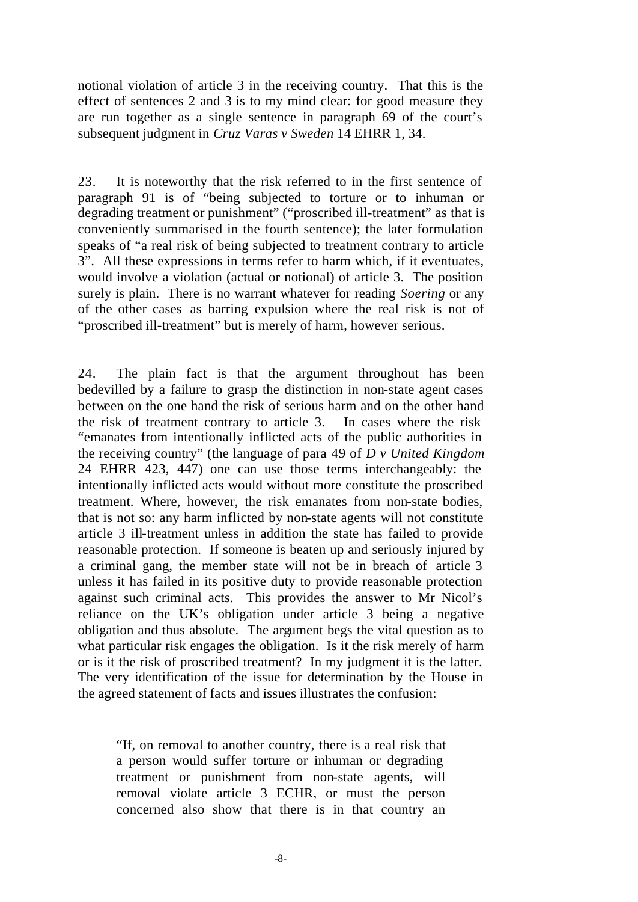notional violation of article 3 in the receiving country. That this is the effect of sentences 2 and 3 is to my mind clear: for good measure they are run together as a single sentence in paragraph 69 of the court's subsequent judgment in *Cruz Varas v Sweden* 14 EHRR 1, 34.

23. It is noteworthy that the risk referred to in the first sentence of paragraph 91 is of "being subjected to torture or to inhuman or degrading treatment or punishment" ("proscribed ill-treatment" as that is conveniently summarised in the fourth sentence); the later formulation speaks of "a real risk of being subjected to treatment contrary to article 3". All these expressions in terms refer to harm which, if it eventuates, would involve a violation (actual or notional) of article 3. The position surely is plain. There is no warrant whatever for reading *Soering* or any of the other cases as barring expulsion where the real risk is not of "proscribed ill-treatment" but is merely of harm, however serious.

24. The plain fact is that the argument throughout has been bedevilled by a failure to grasp the distinction in non-state agent cases between on the one hand the risk of serious harm and on the other hand the risk of treatment contrary to article 3. In cases where the risk "emanates from intentionally inflicted acts of the public authorities in the receiving country" (the language of para 49 of *D v United Kingdom* 24 EHRR 423, 447) one can use those terms interchangeably: the intentionally inflicted acts would without more constitute the proscribed treatment. Where, however, the risk emanates from non-state bodies, that is not so: any harm inflicted by non-state agents will not constitute article 3 ill-treatment unless in addition the state has failed to provide reasonable protection. If someone is beaten up and seriously injured by a criminal gang, the member state will not be in breach of article 3 unless it has failed in its positive duty to provide reasonable protection against such criminal acts. This provides the answer to Mr Nicol's reliance on the UK's obligation under article 3 being a negative obligation and thus absolute. The argument begs the vital question as to what particular risk engages the obligation. Is it the risk merely of harm or is it the risk of proscribed treatment? In my judgment it is the latter. The very identification of the issue for determination by the House in the agreed statement of facts and issues illustrates the confusion:

"If, on removal to another country, there is a real risk that a person would suffer torture or inhuman or degrading treatment or punishment from non-state agents, will removal violate article 3 ECHR, or must the person concerned also show that there is in that country an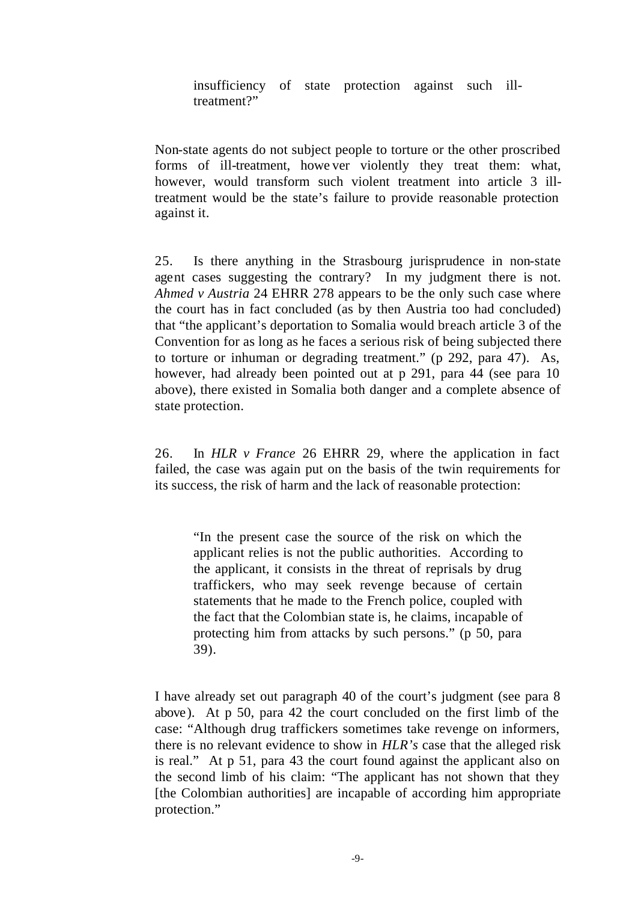insufficiency of state protection against such illtreatment?"

Non-state agents do not subject people to torture or the other proscribed forms of ill-treatment, howe ver violently they treat them: what, however, would transform such violent treatment into article 3 illtreatment would be the state's failure to provide reasonable protection against it.

25. Is there anything in the Strasbourg jurisprudence in non-state agent cases suggesting the contrary? In my judgment there is not. *Ahmed v Austria* 24 EHRR 278 appears to be the only such case where the court has in fact concluded (as by then Austria too had concluded) that "the applicant's deportation to Somalia would breach article 3 of the Convention for as long as he faces a serious risk of being subjected there to torture or inhuman or degrading treatment." (p 292, para 47). As, however, had already been pointed out at p 291, para 44 (see para 10) above), there existed in Somalia both danger and a complete absence of state protection.

26. In *HLR v France* 26 EHRR 29*,* where the application in fact failed, the case was again put on the basis of the twin requirements for its success, the risk of harm and the lack of reasonable protection:

"In the present case the source of the risk on which the applicant relies is not the public authorities. According to the applicant, it consists in the threat of reprisals by drug traffickers, who may seek revenge because of certain statements that he made to the French police, coupled with the fact that the Colombian state is, he claims, incapable of protecting him from attacks by such persons." (p 50, para 39).

I have already set out paragraph 40 of the court's judgment (see para 8 above). At p 50, para 42 the court concluded on the first limb of the case: "Although drug traffickers sometimes take revenge on informers, there is no relevant evidence to show in *HLR's* case that the alleged risk is real." At p 51, para 43 the court found against the applicant also on the second limb of his claim: "The applicant has not shown that they [the Colombian authorities] are incapable of according him appropriate protection."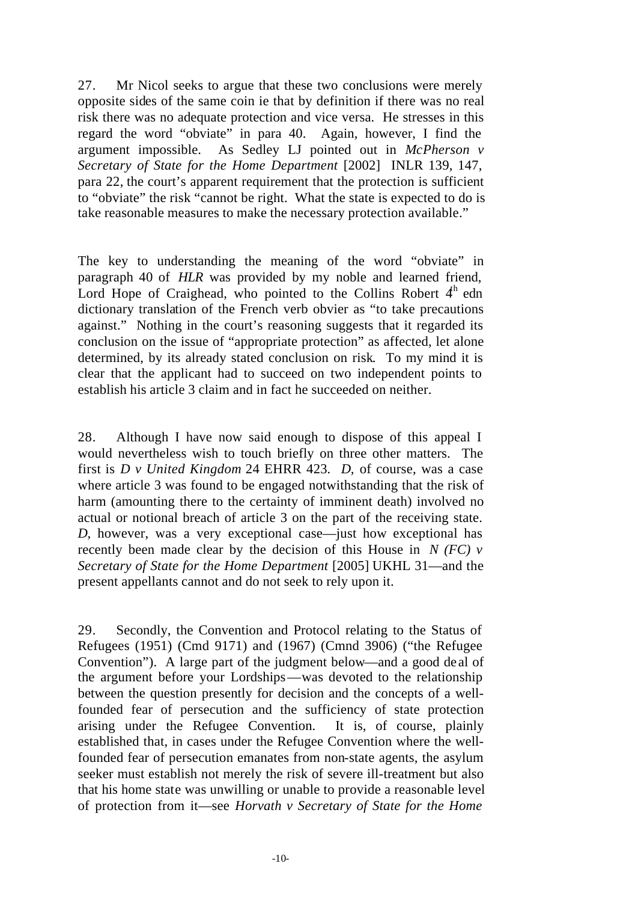27. Mr Nicol seeks to argue that these two conclusions were merely opposite sides of the same coin ie that by definition if there was no real risk there was no adequate protection and vice versa. He stresses in this regard the word "obviate" in para 40. Again, however, I find the argument impossible. As Sedley LJ pointed out in *McPherson v Secretary of State for the Home Department* [2002] INLR 139, 147, para 22, the court's apparent requirement that the protection is sufficient to "obviate" the risk "cannot be right. What the state is expected to do is take reasonable measures to make the necessary protection available."

The key to understanding the meaning of the word "obviate" in paragraph 40 of *HLR* was provided by my noble and learned friend, Lord Hope of Craighead, who pointed to the Collins Robert  $4<sup>h</sup>$  edn dictionary translation of the French verb obvier as "to take precautions against." Nothing in the court's reasoning suggests that it regarded its conclusion on the issue of "appropriate protection" as affected, let alone determined, by its already stated conclusion on risk. To my mind it is clear that the applicant had to succeed on two independent points to establish his article 3 claim and in fact he succeeded on neither.

28. Although I have now said enough to dispose of this appeal I would nevertheless wish to touch briefly on three other matters. The first is *D v United Kingdom* 24 EHRR 423*. D,* of course, was a case where article 3 was found to be engaged notwithstanding that the risk of harm (amounting there to the certainty of imminent death) involved no actual or notional breach of article 3 on the part of the receiving state. *D,* however, was a very exceptional case—just how exceptional has recently been made clear by the decision of this House in *N (FC) v Secretary of State for the Home Department* [2005] UKHL 31—and the present appellants cannot and do not seek to rely upon it.

29. Secondly, the Convention and Protocol relating to the Status of Refugees (1951) (Cmd 9171) and (1967) (Cmnd 3906) ("the Refugee Convention"). A large part of the judgment below—and a good de al of the argument before your Lordships—was devoted to the relationship between the question presently for decision and the concepts of a wellfounded fear of persecution and the sufficiency of state protection arising under the Refugee Convention. It is, of course, plainly established that, in cases under the Refugee Convention where the wellfounded fear of persecution emanates from non-state agents, the asylum seeker must establish not merely the risk of severe ill-treatment but also that his home state was unwilling or unable to provide a reasonable level of protection from it—see *Horvath v Secretary of State for the Home*